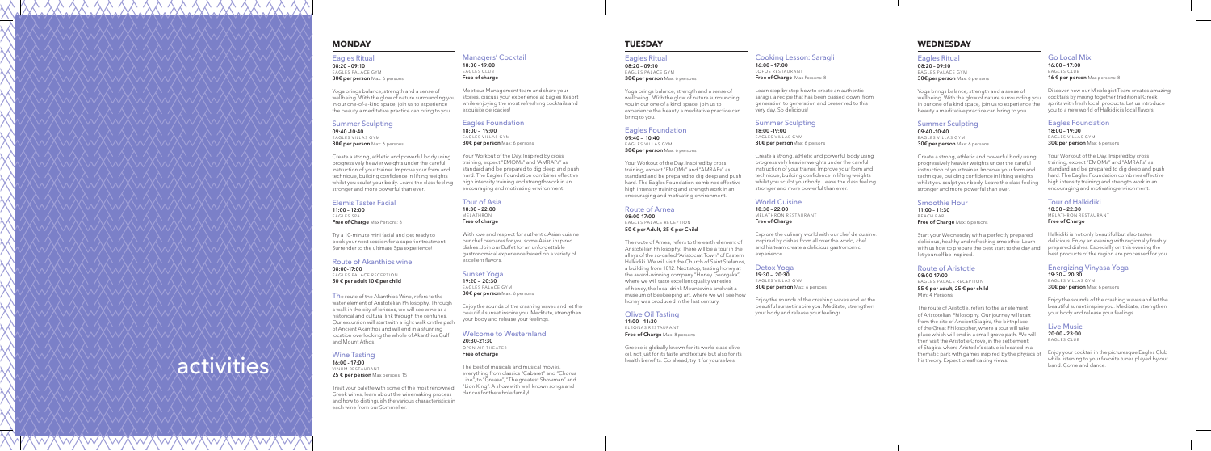activities

# **MONDAY**

08:20 – 09:10 EAGLES PALACE GYM 30€ per person Max: 6 persons

# Eagles Ritual

Yoga brings balance, strength and a sense of wellbeing. With the glow of nature surrounding you in our one-of-a-kind space, join us to experience the beauty a meditative practice can bring to you.

#### Summer Sculpting 09:40 -10:40

EAGLES VILLAS GYM 30€ per person Max: 6 persons

Elemis Taster Facial 11:00 – 12:00 EAGLES SPA Free of Charge Max Persons: 8

Create a strong, athletic and powerful body using progressively heavier weights under the careful instruction of your trainer. Improve your form and technique, building confidence in lifting weights whilst you sculpt your body. Leave the class feeling stronger and more powerful than ever.

16:00 - 17:00 VINUM RESTAURANT 25 € per person Max persons: 15

08:20 – 09:10 EAGLES PALACE GYM 30€ per person Max: 6 persons

Try a 10-minute mini facial and get ready to book your next session for a superior treatment. Surrender to the ultimate Spa experience!

### Route of Akanthios wine

08:00-17:00 EAGLES PALACE RECEPTION 50 € per adult 10 € per child

The route of the Akanthios Wine, refers to the water element of Aristotelian Philosophy. Through a walk in the city of Ierissos, we will see wine as a historical and cultural link through the centuries. Our excursion will start with a light walk on the path of Ancient Akanthos and will end in a stunning location overlooking the whole of Akanthios Gulf and Mount Athos.

### Wine Tasting

11:00 – 11:30 EL EONAS RESTAURANT Free of Charge Max: 8 persons

Greece is globally known for its world class olive oil, not just for its taste and texture but also for its health benefits. Go ahead, try it for yourselves!

Treat your palette with some of the most renowned Greek wines, learn about the winemaking process and how to distinguish the various characteristics in each wine from our Sommelier.

08:20 – 09:10 EAGLES PALACE GYM 30€ per person Max: 6 persons

# **TUESDAY**

### Eagles Ritual

09:40 -10:40 EAGLES VILLAS GYM 30€ per person Max: 6 persons

Yoga brings balance, strength and a sense of wellbeing. With the glow of nature surrounding you in our one of a kind space, join us to experience the beauty a meditative practice can bring to you.

> 11:00 – 11:30 BEACH BAR Free of Charge Max: 6 persons

#### Eagles Foundation 09:40 – 10:40 EAGLES VILLAS GYM

30€ per person Max: 6 persons

Your Workout of the Day. Inspired by cross training, expect "EMOMs" and "AMRAPs" as standard and be prepared to dig deep and push hard. The Eagles Foundation combines effective high intensity training and strength work in an encouraging and motivating environment.

#### Route of Arnea 08:00-17:00

EAGLES PALACE RECEPTION 50 € per Adult, 25 € per Child

18:00 – 19:00 E AGLES VILLAS GYM 30€ per person Max: 6 persons

> The route of Arnea, refers to the earth element of Aristotelian Philosophy. There will be a tour in the alleys of the so-called "Aristocrat Town" of Eastern Halkidiki. We will visit the Church of Saint Stefanos, a building from 1812. Next stop, tasting honey at the award-winning company "Honey Georgaka", where we will taste excellent quality varieties of honey, the local drink Mountovina and visit a museum of beekeeping art, where we will see how honey was produced in the last century.

With love and respect for authentic Asian cuisine our chef prepares for you some Asian inspired dishes. Join our Buffet for an unforgettable gastronomical experience based on a variety of excellent flavors.

19:20 – 20:30 EAGLES PALACE GYM 30€ per person Max: 6 persons

## Olive Oil Tasting

# **WEDNESDAY**

18:00 -19:00 E AGLES VILLAS GYM 30€ per personMax: 6 persons

## Eagles Ritual

Yoga brings balance, strength and a sense of wellbeing. With the glow of nature surrounding you in our one of a kind space, join us to experience the beauty a meditative practice can bring to you.

# Summer Sculpting

19:30 – 20:30 EAGLES VILLAS GYM 30€ per person Max: 6 persons

16:00 – 17:00 E AGLES CLUB 16 € per person Max persons: 8

Discover how our Mixologist Team creates amazing cocktails by mixing together traditional Greek spirits with fresh local products. Let us introduce you to a new world of Halkidiki's local flavors.

Create a strong, athletic and powerful body using progressively heavier weights under the careful instruction of your trainer. Improve your form and technique, building confidence in lifting weights whilst you sculpt your body. Leave the class feeling stronger and more powerful than ever.

18:00 – 19:00 E AGLES VILLAS GYM 30€ per person Max: 6 persons

### Smoothie Hour

Start your Wednesday with a perfectly prepared delicious, healthy and refreshing smoothie. Learn with us how to prepare the best start to the day and let yourself be inspired.

> 19:30 – 20:30 EAGLES VILLAS GYM 30€ per person Max: 6 persons

#### Route of Aristotle 08:00-17:00

EAGLES PALACE RECEPTION 55 € per adult, 25 € per child

Min: 4 Persons

The route of Aristotle, refers to the air element of Aristotelian Philosophy. Our journey will start from the site of Ancient Stagira, the birthplace of the Great Philosopher, where a tour will take place which will end in a small grove path. We will then visit the Aristotle Grove, in the settlement of Stagira, where Aristotle's statue is located in a thematic park with games inspired by the physics of his theory. Expect breathtaking views.

#### Managers' Cocktail 18:00 - 19:00 E AGLES CLUB Free of charge

Meet our Management team and share your stories, discuss your experience at Eagles Resort while enjoying the most refreshing cocktails and exquisite delicacies!

### Eagles Foundation

Your Workout of the Day. Inspired by cross training, expect "EMOMs" and "AMRAPs" as standard and be prepared to dig deep and push hard. The Eagles Foundation combines effective high intensity training and strength work in an encouraging and motivating environment.

Tour of Asia 18:30 – 22:00 MELATHRON Free of charge

### Sunset Yoga

Enjoy the sounds of the crashing waves and let the beautiful sunset inspire you. Meditate, strengthen your body and release your feelings.

Welcome to Westernland 20:30-21:30

OPEN AIR THEATER Free of charge

The best of musicals and musical movies, everything from classics "Cabaret" and "Chorus Line", to "Grease", "The greatest Showman" and "Lion King". A show with well known songs and dances for the whole family!

## Cooking Lesson: Saragli

16:00 – 17:00 LO FOS RESTAURANT Free of Charge Max Persons: 8

Learn step by step how to create an authentic saragli, a recipe that has been passed down from generation to generation and preserved to this very day. So delicious!

### Summer Sculpting

Create a strong, athletic and powerful body using progressively heavier weights under the careful instruction of your trainer. Improve your form and technique, building confidence in lifting weights whilst you sculpt your body. Leave the class feeling stronger and more powerful than ever.

### World Cuisine

18:30 – 22:00 MEL ATHRON RESTAURANT Free of Charge

Explore the culinary world with our chef de cuisine. Inspired by dishes from all over the world, chef and his team create a delicious gastronomic experience.

## Detox Yoga

Enjoy the sounds of the crashing waves and let the beautiful sunset inspire you. Meditate, strengthen your body and release your feelings.

## Go Local Mix

## Eagles Foundation

Your Workout of the Day. Inspired by cross training, expect "EMOMs" and "AMRAPs" as standard and be prepared to dig deep and push hard. The Eagles Foundation combines effective high intensity training and strength work in an encouraging and motivating environment.

Tour of Halkidiki

18:30 – 22:00 MEL ATHRON RESTAURANT Free of Charge

Halkidiki is not only beautiful but also tastes delicious. Enjoy an evening with regionally freshly prepared dishes. Especially on this evening the best products of the region are processed for you.

## Energizing Vinyasa Yoga

Enjoy the sounds of the crashing waves and let the beautiful sunset inspire you. Meditate, strengthen your body and release your feelings.

### Live Music 20:00 - 23:00

EAGLES CLUB

Enjoy your cocktail in the picturesque Eagles Club while listening to your favorite tunes played by our band. Come and dance.